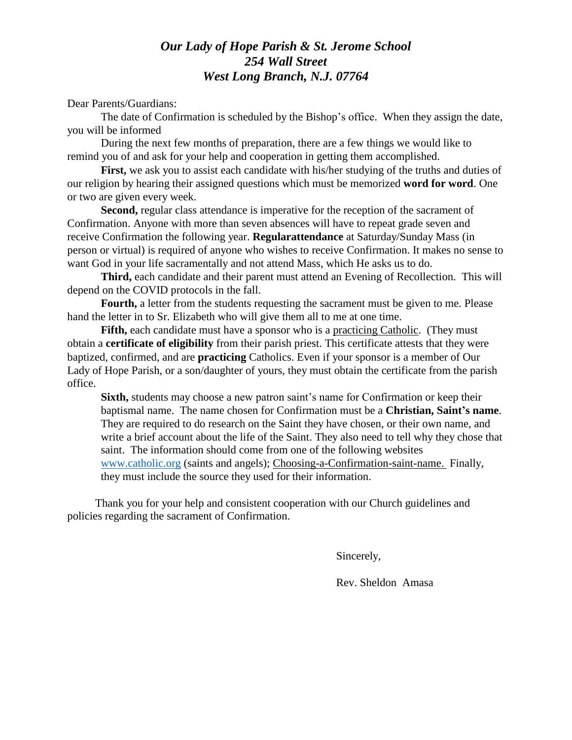## *Our Lady of Hope Parish & St. Jerome School 254 Wall Street West Long Branch, N.J. 07764*

Dear Parents/Guardians:

The date of Confirmation is scheduled by the Bishop's office. When they assign the date, you will be informed

During the next few months of preparation, there are a few things we would like to remind you of and ask for your help and cooperation in getting them accomplished.

First, we ask you to assist each candidate with his/her studying of the truths and duties of our religion by hearing their assigned questions which must be memorized **word for word**. One or two are given every week.

**Second,** regular class attendance is imperative for the reception of the sacrament of Confirmation. Anyone with more than seven absences will have to repeat grade seven and receive Confirmation the following year. **Regularattendance** at Saturday/Sunday Mass (in person or virtual) is required of anyone who wishes to receive Confirmation. It makes no sense to want God in your life sacramentally and not attend Mass, which He asks us to do.

**Third,** each candidate and their parent must attend an Evening of Recollection. This will depend on the COVID protocols in the fall.

Fourth, a letter from the students requesting the sacrament must be given to me. Please hand the letter in to Sr. Elizabeth who will give them all to me at one time.

**Fifth,** each candidate must have a sponsor who is a practicing Catholic. (They must obtain a **certificate of eligibility** from their parish priest. This certificate attests that they were baptized, confirmed, and are **practicing** Catholics. Even if your sponsor is a member of Our Lady of Hope Parish, or a son/daughter of yours, they must obtain the certificate from the parish office.

**Sixth,** students may choose a new patron saint's name for Confirmation or keep their baptismal name. The name chosen for Confirmation must be a **Christian, Saint's name**. They are required to do research on the Saint they have chosen, or their own name, and write a brief account about the life of the Saint. They also need to tell why they chose that saint. The information should come from one of the following websites [www.catholic.org](http://www.catholic.org/) (saints and angels); Choosing-a-Confirmation-saint-name. Finally, they must include the source they used for their information.

 Thank you for your help and consistent cooperation with our Church guidelines and policies regarding the sacrament of Confirmation.

Sincerely,

Rev. Sheldon Amasa